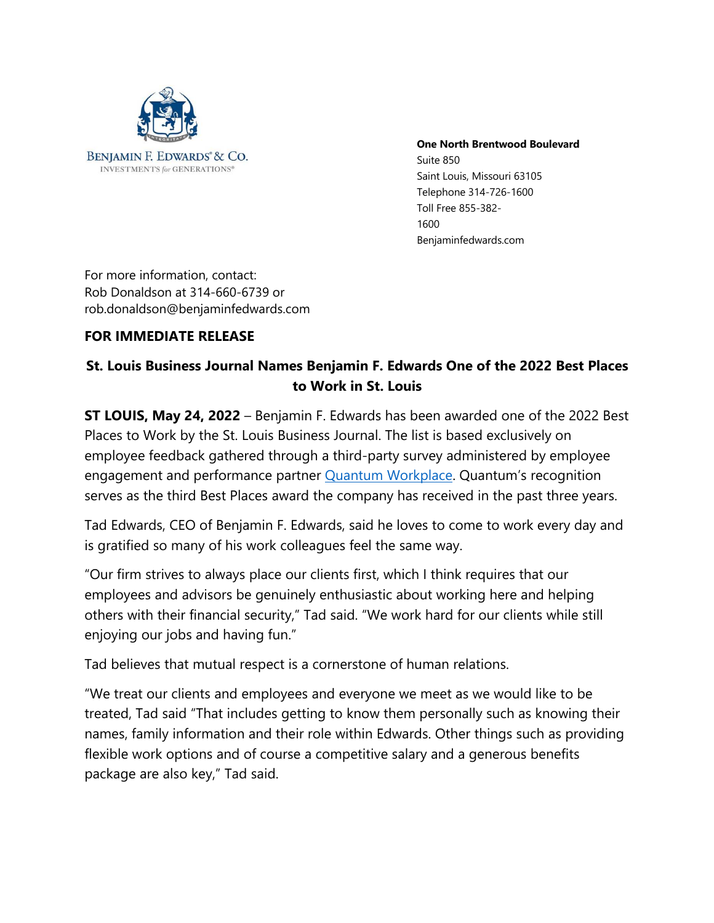

#### **One North Brentwood Boulevard**

Suite 850 Saint Louis, Missouri 63105 Telephone 314-726-1600 Toll Free 855-382- 1600 Benjaminfedwards.com

For more information, contact: Rob Donaldson at 314-660-6739 or rob.donaldson@benjaminfedwards.com

# **FOR IMMEDIATE RELEASE**

# **St. Louis Business Journal Names Benjamin F. Edwards One of the 2022 Best Places to Work in St. Louis**

**ST LOUIS, May 24, 2022** – Benjamin F. Edwards has been awarded one of the 2022 Best Places to Work by the St. Louis Business Journal. The list is based exclusively on employee feedback gathered through a third-party survey administered by employee engagement and performance partner Quantum Workplace. Quantum's recognition serves as the third Best Places award the company has received in the past three years.

Tad Edwards, CEO of Benjamin F. Edwards, said he loves to come to work every day and is gratified so many of his work colleagues feel the same way.

"Our firm strives to always place our clients first, which I think requires that our employees and advisors be genuinely enthusiastic about working here and helping others with their financial security," Tad said. "We work hard for our clients while still enjoying our jobs and having fun."

Tad believes that mutual respect is a cornerstone of human relations.

"We treat our clients and employees and everyone we meet as we would like to be treated, Tad said "That includes getting to know them personally such as knowing their names, family information and their role within Edwards. Other things such as providing flexible work options and of course a competitive salary and a generous benefits package are also key," Tad said.